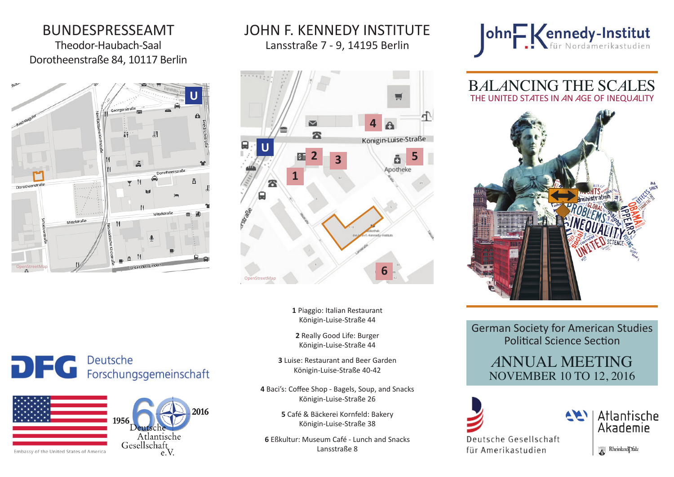# BUNDESPRESSEAMT

Theodor-Haubach-Saal Dorotheenstraße 84, 10117 Berlin



# پ **4** ፳ Königin-Luise-Straße **U 2 3 5** 砡 **16** OpenStreetMap

Lansstraße 7 - 9, 14195 Berlin

JOHN F. KENNEDY INSTITUTE

**1** Piaggio: Italian Restaurant Königin-Luise-Straße 44

**2** Really Good Life: Burger Königin-Luise-Straße 44

**3** Luise: Restaurant and Beer Garden Königin-Luise-Straße 40-42

**4** Baci's: Coffee Shop - Bagels, Soup, and Snacks Königin-Luise-Straße 26

> **5** Café & Bäckerei Kornfeld: Bakery Königin-Luise-Straße 38

**6** Eßkultur: Museum Café - Lunch and Snacks Lansstraße 8



B*A*L*A*NCING THE SC*A*LES THE UNITED ST*A*TES IN *A*N *A*GE OF INEQU*A*LITY



German Society for American Studies Political Science Section

## *<sup>A</sup>*NNUAL MEETING NOVEMBER 10 TO 12, 2016



Rheinland Dfalz

Atlantische

Akademie

DEC Deutsche<br>
Forschungsgemeinschaft





Embassy of the United States of America